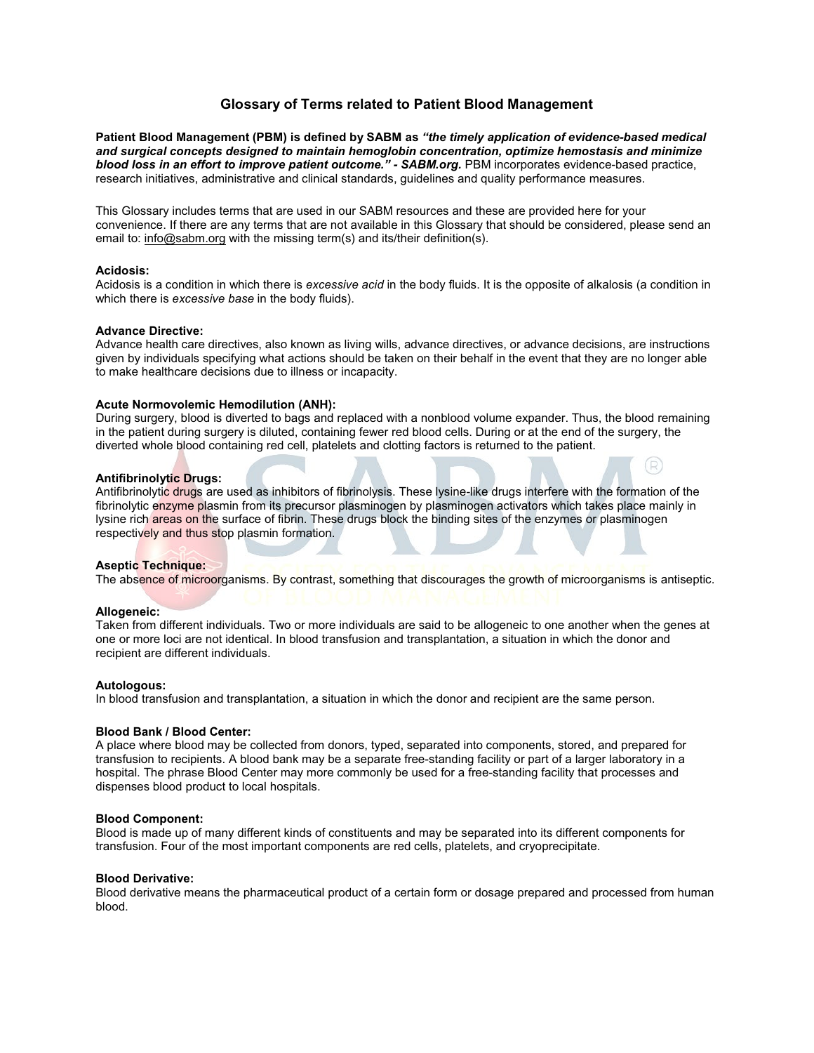# **Glossary of Terms related to Patient Blood Management**

**Patient Blood Management (PBM) is defined by SABM as** *"the timely application of evidence-based medical and surgical concepts designed to maintain hemoglobin concentration, optimize hemostasis and minimize blood loss in an effort to improve patient outcome." - SABM.org.* PBM incorporates evidence-based practice, research initiatives, administrative and clinical standards, guidelines and quality performance measures.

This Glossary includes terms that are used in our SABM resources and these are provided here for your convenience. If there are any terms that are not available in this Glossary that should be considered, please send an email to: [info@sabm.org](mailto:info@sabm.org) with the missing term(s) and its/their definition(s).

### **Acidosis:**

Acidosis is a condition in which there is *excessive acid* in the body fluids. It is the opposite of alkalosis (a condition in which there is *excessive base* in the body fluids).

### **Advance Directive:**

Advance health care directives, also known as living wills, advance directives, or advance decisions, are instructions given by individuals specifying what actions should be taken on their behalf in the event that they are no longer able to make healthcare decisions due to illness or incapacity.

### **Acute Normovolemic Hemodilution (ANH):**

During surgery, blood is diverted to bags and replaced with a nonblood volume expander. Thus, the blood remaining in the patient during surgery is diluted, containing fewer red blood cells. During or at the end of the surgery, the diverted whole blood containing red cell, platelets and clotting factors is returned to the patient.

(R)

# **Antifibrinolytic Drugs:**

Antifibrinolytic drugs are used as inhibitors of fibrinolysis. These lysine-like drugs interfere with the formation of the fibrinolytic enzyme plasmin from its precursor plasminogen by plasminogen activators which takes place mainly in lysine rich areas on the surface of fibrin. These drugs block the binding sites of the enzymes or plasminogen respectively and thus stop plasmin formation.

### **Aseptic Technique:**

The absence of microorganisms. By contrast, something that discourages the growth of microorganisms is antiseptic.

### **Allogeneic:**

Taken from different individuals. Two or more individuals are said to be allogeneic to one another when the genes at one or more loci are not identical. In blood transfusion and transplantation, a situation in which the donor and recipient are different individuals.

### **Autologous:**

In blood transfusion and transplantation, a situation in which the donor and recipient are the same person.

### **Blood Bank / Blood Center:**

A place where blood may be collected from donors, typed, separated into components, stored, and prepared for transfusion to recipients. A blood bank may be a separate free-standing facility or part of a larger laboratory in a hospital. The phrase Blood Center may more commonly be used for a free-standing facility that processes and dispenses blood product to local hospitals.

### **Blood Component:**

Blood is made up of many different kinds of constituents and may be separated into its different components for transfusion. Four of the most important components are red cells, platelets, and cryoprecipitate.

### **Blood Derivative:**

Blood derivative means the pharmaceutical product of a certain form or dosage prepared and processed from human blood.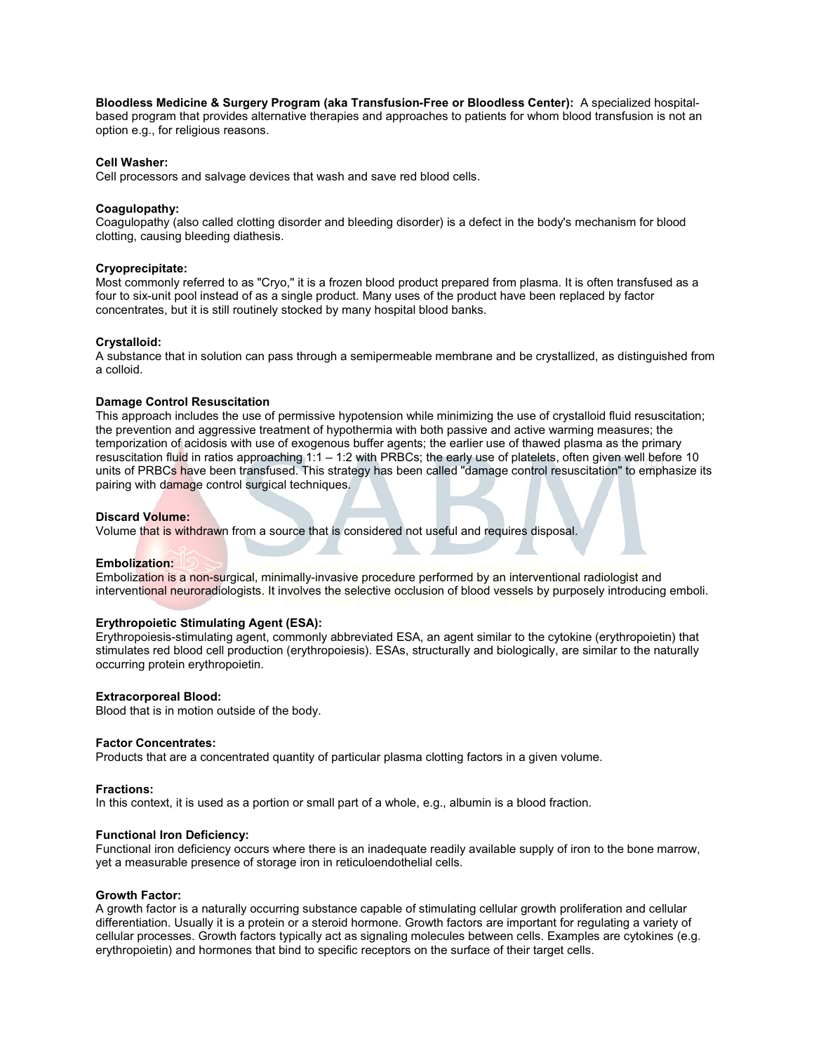**Bloodless Medicine & Surgery Program (aka Transfusion-Free or Bloodless Center):** A specialized hospital-

based program that provides alternative therapies and approaches to patients for whom blood transfusion is not an option e.g., for religious reasons.

# **Cell Washer:**

Cell processors and salvage devices that wash and save red blood cells.

# **Coagulopathy:**

Coagulopathy (also called clotting disorder and bleeding disorder) is a defect in the body's mechanism for blood clotting, causing bleeding diathesis.

### **Cryoprecipitate:**

Most commonly referred to as "Cryo," it is a frozen blood product prepared from plasma. It is often transfused as a four to six-unit pool instead of as a single product. Many uses of the product have been replaced by factor concentrates, but it is still routinely stocked by many hospital blood banks.

### **Crystalloid:**

A substance that in solution can pass through a semipermeable membrane and be crystallized, as distinguished from a colloid.

### **Damage Control Resuscitation**

This approach includes the use of permissive hypotension while minimizing the use of crystalloid fluid resuscitation; the prevention and aggressive treatment of hypothermia with both passive and active warming measures; the temporization of acidosis with use of exogenous buffer agents; the earlier use of thawed plasma as the primary resuscitation fluid in ratios approaching 1:1 – 1:2 with PRBCs; the early use of platelets, often given well before 10 units of PRBCs have been transfused. This strategy has been called "damage control resuscitation" to emphasize its pairing with damage control surgical techniques.

### **Discard Volume:**

Volume that is withdrawn from a source that is considered not useful and requires disposal.

### **Embolization:**

Embolization is a non-surgical, minimally-invasive procedure performed by an interventional radiologist and interventional neuroradiologists. It involves the selective occlusion of blood vessels by purposely introducing emboli.

### **Erythropoietic Stimulating Agent (ESA):**

Erythropoiesis-stimulating agent, commonly abbreviated ESA, an agent similar to the cytokine (erythropoietin) that stimulates red blood cell production (erythropoiesis). ESAs, structurally and biologically, are similar to the naturally occurring protein erythropoietin.

### **Extracorporeal Blood:**

Blood that is in motion outside of the body.

### **Factor Concentrates:**

Products that are a concentrated quantity of particular plasma clotting factors in a given volume.

### **Fractions:**

In this context, it is used as a portion or small part of a whole, e.g., albumin is a blood fraction.

### **Functional Iron Deficiency:**

Functional iron deficiency occurs where there is an inadequate readily available supply of iron to the bone marrow, yet a measurable presence of storage iron in reticuloendothelial cells.

### **Growth Factor:**

A growth factor is a naturally occurring substance capable of stimulating cellular growth proliferation and cellular differentiation. Usually it is a protein or a steroid hormone. Growth factors are important for regulating a variety of cellular processes. Growth factors typically act as signaling molecules between cells. Examples are cytokines (e.g. erythropoietin) and hormones that bind to specific receptors on the surface of their target cells.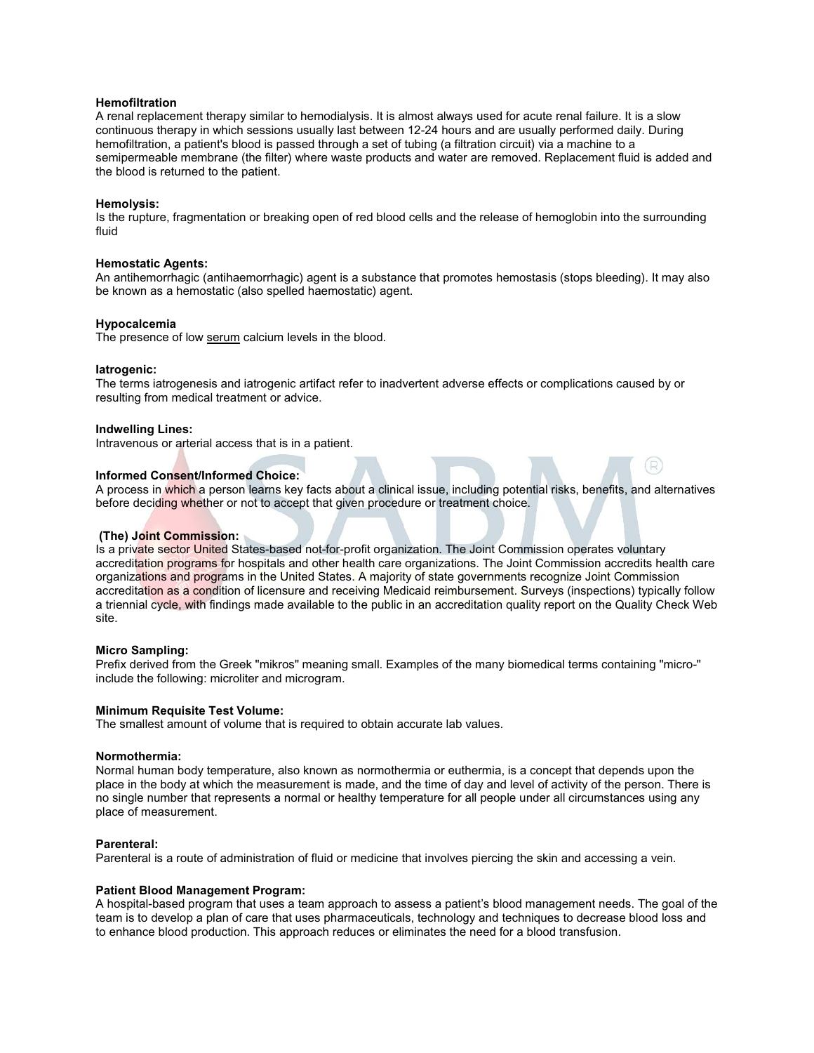### **Hemofiltration**

A renal replacement therapy similar to hemodialysis. It is almost always used for acute renal failure. It is a slow continuous therapy in which sessions usually last between 12-24 hours and are usually performed daily. During hemofiltration, a patient's blood is passed through a set of tubing (a filtration circuit) via a machine to a semipermeable membrane (the filter) where waste products and water are removed. Replacement fluid is added and the blood is returned to the patient.

### **Hemolysis:**

Is the rupture, fragmentation or breaking open of red blood cells and the release of hemoglobin into the surrounding fluid

#### **Hemostatic Agents:**

An antihemorrhagic (antihaemorrhagic) agent is a substance that promotes hemostasis (stops bleeding). It may also be known as a hemostatic (also spelled haemostatic) agent.

### **Hypocalcemia**

The presence of low [serum](http://en.wikipedia.org/wiki/Serum) calcium levels in the blood.

#### **Iatrogenic:**

The terms iatrogenesis and iatrogenic artifact refer to inadvertent adverse effects or complications caused by or resulting from medical treatment or advice.

#### **Indwelling Lines:**

Intravenous or arterial access that is in a patient.

# **Informed Consent/Informed Choice:**

A process in which a person learns key facts about a clinical issue, including potential risks, benefits, and alternatives before deciding whether or not to accept that given procedure or treatment choice.

(R)

### **(The) Joint Commission:**

Is a private sector United States-based not-for-profit organization. The Joint Commission operates voluntary accreditation programs for hospitals and other health care organizations. The Joint Commission accredits health care organizations and programs in the United States. A majority of state governments recognize Joint Commission accreditation as a condition of licensure and receiving Medicaid reimbursement. Surveys (inspections) typically follow a triennial cycle, with findings made available to the public in an accreditation quality report on the Quality Check Web site.

#### **Micro Sampling:**

Prefix derived from the Greek "mikros" meaning small. Examples of the many biomedical terms containing "micro-" include the following: microliter and microgram.

### **Minimum Requisite Test Volume:**

The smallest amount of volume that is required to obtain accurate lab values.

#### **Normothermia:**

Normal human body temperature, also known as normothermia or euthermia, is a concept that depends upon the place in the body at which the measurement is made, and the time of day and level of activity of the person. There is no single number that represents a normal or healthy temperature for all people under all circumstances using any place of measurement.

### **Parenteral:**

Parenteral is a route of administration of fluid or medicine that involves piercing the skin and accessing a vein.

### **Patient Blood Management Program:**

A hospital-based program that uses a team approach to assess a patient's blood management needs. The goal of the team is to develop a plan of care that uses pharmaceuticals, technology and techniques to decrease blood loss and to enhance blood production. This approach reduces or eliminates the need for a blood transfusion.